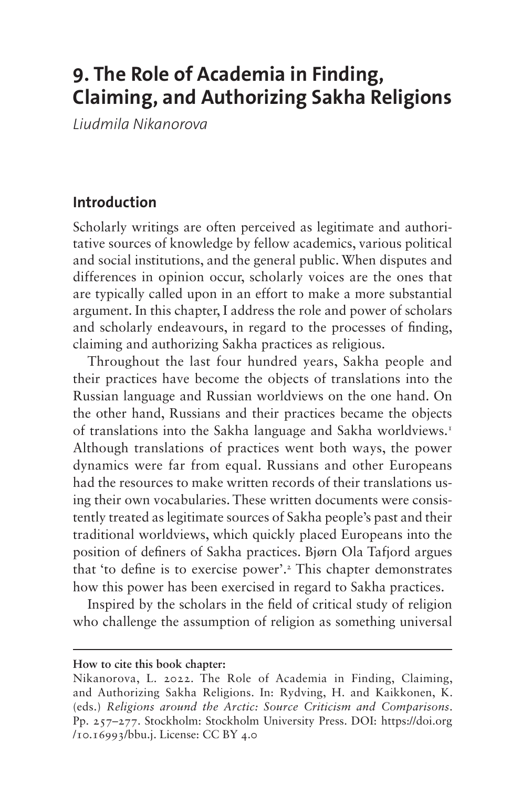# **9. The Role of Academia in Finding, Claiming, and Authorizing Sakha Religions**

*Liudmila Nikanorova*

### **Introduction**

Scholarly writings are often perceived as legitimate and authoritative sources of knowledge by fellow academics, various political and social institutions, and the general public. When disputes and differences in opinion occur, scholarly voices are the ones that are typically called upon in an effort to make a more substantial argument. In this chapter, I address the role and power of scholars and scholarly endeavours, in regard to the processes of finding, claiming and authorizing Sakha practices as religious.

Throughout the last four hundred years, Sakha people and their practices have become the objects of translations into the Russian language and Russian worldviews on the one hand. On the other hand, Russians and their practices became the objects of translations into the Sakha language and Sakha worldviews[.1](#page-13-0) Although translations of practices went both ways, the power dynamics were far from equal. Russians and other Europeans had the resources to make written records of their translations using their own vocabularies. These written documents were consistently treated as legitimate sources of Sakha people's past and their traditional worldviews, which quickly placed Europeans into the position of definers of Sakha practices. Bjørn Ola Tafjord argues that 'to define is to exercise power'[.2](#page-13-1) This chapter demonstrates how this power has been exercised in regard to Sakha practices.

Inspired by the scholars in the field of critical study of religion who challenge the assumption of religion as something universal

#### **How to cite this book chapter:**

Nikanorova, L. 2022. The Role of Academia in Finding, Claiming, and Authorizing Sakha Religions. In: Rydving, H. and Kaikkonen, K. (eds.) *Religions around the Arctic: Source Criticism and Comparisons*. Pp. 257–277. Stockholm: Stockholm University Press. DOI: [https://doi.org](https://doi.org/10.16993/bbu.j) [/10.16993/bbu.j](https://doi.org/10.16993/bbu.j). License: CC BY 4.0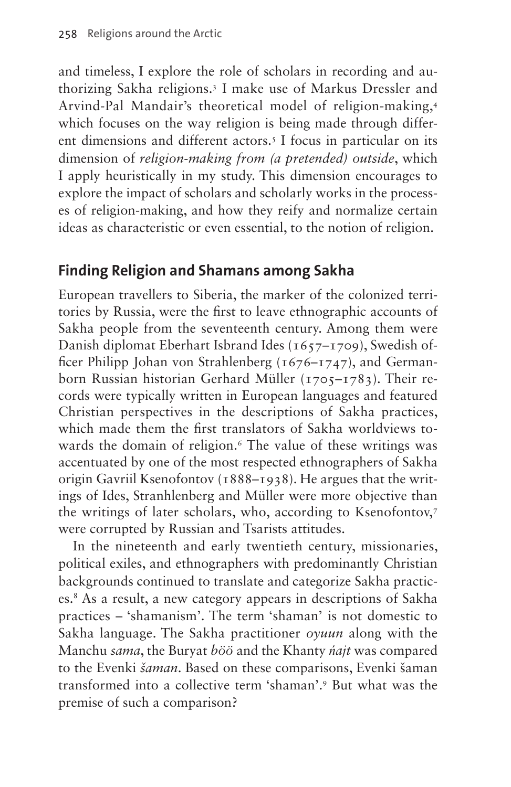and timeless, I explore the role of scholars in recording and authorizing Sakha religions[.3](#page-13-2) I make use of Markus Dressler and Arvind-Pal Mandair's theoretical model of religion-making,[4](#page-13-3) which focuses on the way religion is being made through different dimensions and different actors.<sup>5</sup> I focus in particular on its dimension of *religion-making from (a pretended) outside*, which I apply heuristically in my study. This dimension encourages to explore the impact of scholars and scholarly works in the processes of religion-making, and how they reify and normalize certain ideas as characteristic or even essential, to the notion of religion.

### **Finding Religion and Shamans among Sakha**

European travellers to Siberia, the marker of the colonized territories by Russia, were the first to leave ethnographic accounts of Sakha people from the seventeenth century. Among them were Danish diplomat Eberhart Isbrand Ides (1657–1709), Swedish officer Philipp Johan von Strahlenberg (1676–1747), and Germanborn Russian historian Gerhard Müller (1705–1783). Their records were typically written in European languages and featured Christian perspectives in the descriptions of Sakha practices, which made them the first translators of Sakha worldviews to-wards the domain of religion.<sup>[6](#page-14-0)</sup> The value of these writings was accentuated by one of the most respected ethnographers of Sakha origin Gavriil Ksenofontov (1888–1938). He argues that the writings of Ides, Stranhlenberg and Müller were more objective than the writings of later scholars, who, according to Ksenofontov,[7](#page-14-1) were corrupted by Russian and Tsarists attitudes.

In the nineteenth and early twentieth century, missionaries, political exiles, and ethnographers with predominantly Christian backgrounds continued to translate and categorize Sakha practices[.8](#page-14-2) As a result, a new category appears in descriptions of Sakha practices – 'shamanism'. The term 'shaman' is not domestic to Sakha language. The Sakha practitioner *oyuun* along with the Manchu *sama*, the Buryat *böö* and the Khanty *ńajt* was compared to the Evenki *šaman*. Based on these comparisons, Evenki šaman transformed into a collective term 'shaman'.[9](#page-14-3) But what was the premise of such a comparison?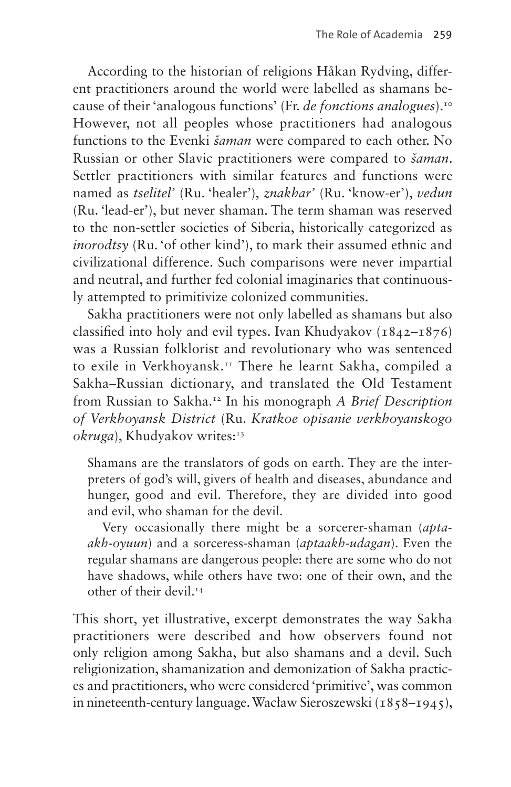According to the historian of religions Håkan Rydving, different practitioners around the world were labelled as shamans because of their 'analogous functions' (Fr. *de fonctions analogues*).[10](#page-14-4) However, not all peoples whose practitioners had analogous functions to the Evenki *šaman* were compared to each other. No Russian or other Slavic practitioners were compared to *šaman*. Settler practitioners with similar features and functions were named as *tselitel'* (Ru. 'healer'), *znakhar'* (Ru. 'know-er'), *vedun* (Ru. 'lead-er'), but never shaman. The term shaman was reserved to the non-settler societies of Siberia, historically categorized as *inorodtsy* (Ru. 'of other kind'), to mark their assumed ethnic and civilizational difference. Such comparisons were never impartial and neutral, and further fed colonial imaginaries that continuously attempted to primitivize colonized communities.

Sakha practitioners were not only labelled as shamans but also classified into holy and evil types. Ivan Khudyakov  $(1842 - 1876)$ was a Russian folklorist and revolutionary who was sentenced to exile in Verkhoyansk[.11](#page-14-5) There he learnt Sakha, compiled a Sakha–Russian dictionary, and translated the Old Testament from Russian to Sakha[.12](#page-14-6) In his monograph *A Brief Description of Verkhoyansk District* (Ru. *Kratkoe opisanie verkhoyanskogo*  okruga), Khudyakov writes:<sup>13</sup>

Shamans are the translators of gods on earth. They are the interpreters of god's will, givers of health and diseases, abundance and hunger, good and evil. Therefore, they are divided into good and evil, who shaman for the devil.

Very occasionally there might be a sorcerer-shaman (*aptaakh-oyuun*) and a sorceress-shaman (*aptaakh-udagan*). Even the regular shamans are dangerous people: there are some who do not have shadows, while others have two: one of their own, and the other of their devil.<sup>14</sup>

This short, yet illustrative, excerpt demonstrates the way Sakha practitioners were described and how observers found not only religion among Sakha, but also shamans and a devil. Such religionization, shamanization and demonization of Sakha practices and practitioners, who were considered 'primitive', was common in nineteenth-century language. Wacław Sieroszewski (1858–1945),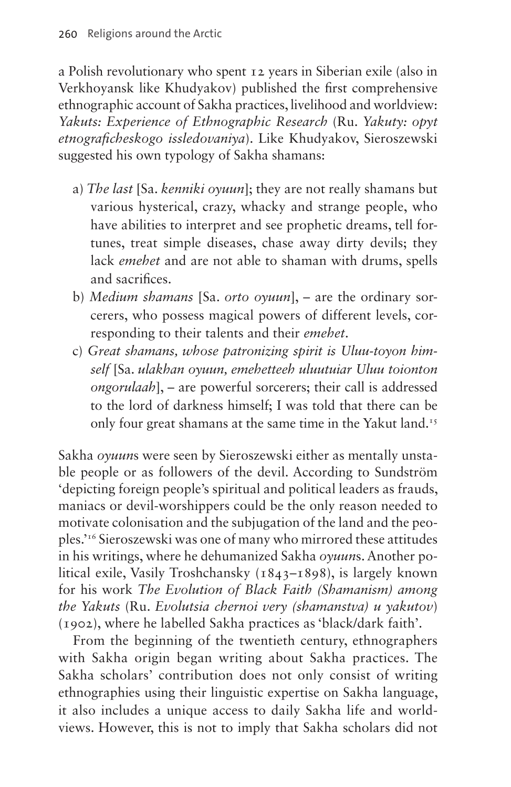a Polish revolutionary who spent 12 years in Siberian exile (also in Verkhoyansk like Khudyakov) published the first comprehensive ethnographic account of Sakha practices, livelihood and worldview: *Yakuts: Experience of Ethnographic Research* (Ru. *Yakuty: opyt etnograficheskogo issledovaniya*). Like Khudyakov, Sieroszewski suggested his own typology of Sakha shamans:

- a) *The last* [Sa. *kenniki oyuun*]; they are not really shamans but various hysterical, crazy, whacky and strange people, who have abilities to interpret and see prophetic dreams, tell fortunes, treat simple diseases, chase away dirty devils; they lack *emehet* and are not able to shaman with drums, spells and sacrifices.
- b) *Medium shamans* [Sa. *orto oyuun*], are the ordinary sorcerers, who possess magical powers of different levels, corresponding to their talents and their *emehet*.
- c) *Great shamans, whose patronizing spirit is Uluu-toyon himself* [Sa. *ulakhan oyuun, emehetteeh uluutuiar Uluu toionton ongorulaah*], – are powerful sorcerers; their call is addressed to the lord of darkness himself; I was told that there can be only four great shamans at the same time in the Yakut land.<sup>15</sup>

Sakha *oyuun*s were seen by Sieroszewski either as mentally unstable people or as followers of the devil. According to Sundström 'depicting foreign people's spiritual and political leaders as frauds, maniacs or devil-worshippers could be the only reason needed to motivate colonisation and the subjugation of the land and the peoples.'[16](#page-15-0) Sieroszewski was one of many who mirrored these attitudes in his writings, where he dehumanized Sakha *oyuun*s. Another political exile, Vasily Troshchansky (1843–1898), is largely known for his work *The Evolution of Black Faith (Shamanism) among the Yakuts* (Ru. *Evolutsia chernoi very (shamanstva) u yakutov*) (1902), where he labelled Sakha practices as 'black/dark faith'.

From the beginning of the twentieth century, ethnographers with Sakha origin began writing about Sakha practices. The Sakha scholars' contribution does not only consist of writing ethnographies using their linguistic expertise on Sakha language, it also includes a unique access to daily Sakha life and worldviews. However, this is not to imply that Sakha scholars did not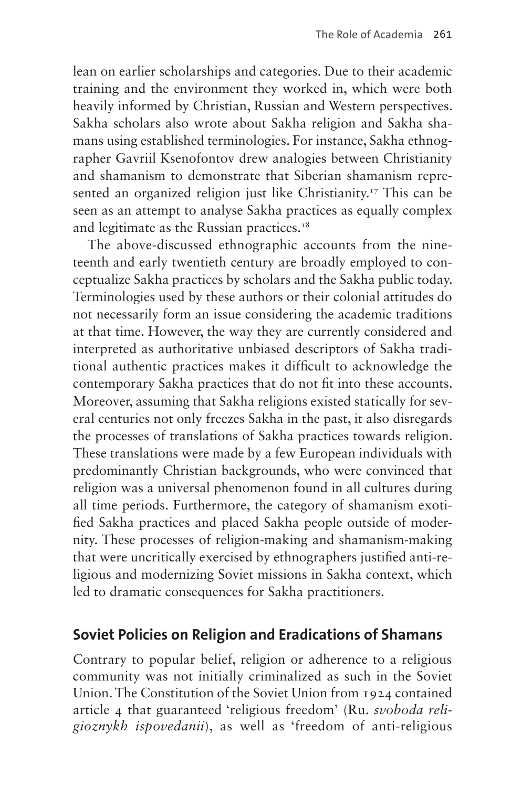lean on earlier scholarships and categories. Due to their academic training and the environment they worked in, which were both heavily informed by Christian, Russian and Western perspectives. Sakha scholars also wrote about Sakha religion and Sakha shamans using established terminologies. For instance, Sakha ethnographer Gavriil Ksenofontov drew analogies between Christianity and shamanism to demonstrate that Siberian shamanism represented an organized religion just like Christianity.<sup>17</sup> This can be seen as an attempt to analyse Sakha practices as equally complex and legitimate as the Russian practices.<sup>18</sup>

The above-discussed ethnographic accounts from the nineteenth and early twentieth century are broadly employed to conceptualize Sakha practices by scholars and the Sakha public today. Terminologies used by these authors or their colonial attitudes do not necessarily form an issue considering the academic traditions at that time. However, the way they are currently considered and interpreted as authoritative unbiased descriptors of Sakha traditional authentic practices makes it difficult to acknowledge the contemporary Sakha practices that do not fit into these accounts. Moreover, assuming that Sakha religions existed statically for several centuries not only freezes Sakha in the past, it also disregards the processes of translations of Sakha practices towards religion. These translations were made by a few European individuals with predominantly Christian backgrounds, who were convinced that religion was a universal phenomenon found in all cultures during all time periods. Furthermore, the category of shamanism exotified Sakha practices and placed Sakha people outside of modernity. These processes of religion-making and shamanism-making that were uncritically exercised by ethnographers justified anti-religious and modernizing Soviet missions in Sakha context, which led to dramatic consequences for Sakha practitioners.

### **Soviet Policies on Religion and Eradications of Shamans**

Contrary to popular belief, religion or adherence to a religious community was not initially criminalized as such in the Soviet Union. The Constitution of the Soviet Union from 1924 contained article 4 that guaranteed 'religious freedom' (Ru. *svoboda religioznykh ispovedanii*), as well as 'freedom of anti-religious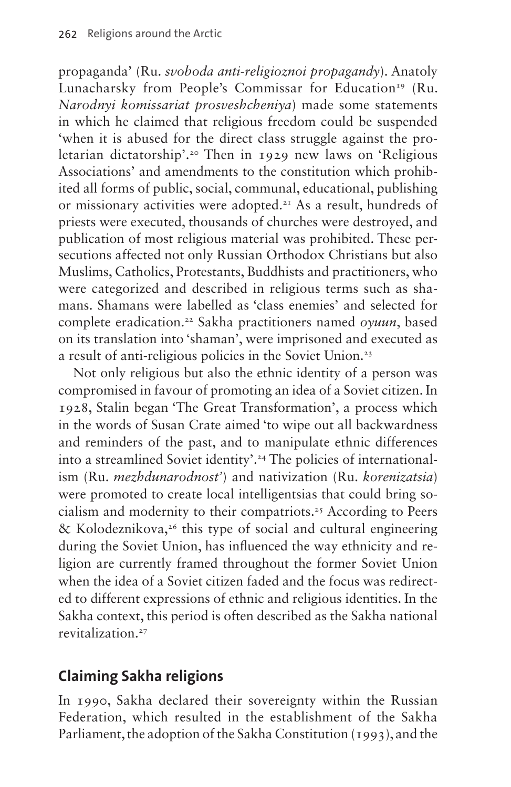propaganda' (Ru. *svoboda anti-religioznoi propagandy*). Anatoly Lunacharsky from People's Commissar for Education<sup>19</sup> (Ru. *Narodnyi komissariat prosveshcheniya*) made some statements in which he claimed that religious freedom could be suspended 'when it is abused for the direct class struggle against the proletarian dictatorship'[.20](#page-15-4) Then in 1929 new laws on 'Religious Associations' and amendments to the constitution which prohibited all forms of public, social, communal, educational, publishing or missionary activities were adopted.[21](#page-15-5) As a result, hundreds of priests were executed, thousands of churches were destroyed, and publication of most religious material was prohibited. These persecutions affected not only Russian Orthodox Christians but also Muslims, Catholics, Protestants, Buddhists and practitioners, who were categorized and described in religious terms such as shamans. Shamans were labelled as 'class enemies' and selected for complete eradication.[22](#page-15-6) Sakha practitioners named *oyuun*, based on its translation into 'shaman', were imprisoned and executed as a result of anti-religious policies in the Soviet Union.[23](#page-15-7)

Not only religious but also the ethnic identity of a person was compromised in favour of promoting an idea of a Soviet citizen. In 1928, Stalin began 'The Great Transformation', a process which in the words of Susan Crate aimed 'to wipe out all backwardness and reminders of the past, and to manipulate ethnic differences into a streamlined Soviet identity'.<sup>24</sup> The policies of internationalism (Ru. *mezhdunarodnost'*) and nativization (Ru. *korenizatsia*) were promoted to create local intelligentsias that could bring socialism and modernity to their compatriots[.25](#page-15-9) According to Peers & Kolodeznikova,<sup>26</sup> this type of social and cultural engineering during the Soviet Union, has influenced the way ethnicity and religion are currently framed throughout the former Soviet Union when the idea of a Soviet citizen faded and the focus was redirected to different expressions of ethnic and religious identities. In the Sakha context, this period is often described as the Sakha national revitalization.[27](#page-15-11)

## **Claiming Sakha religions**

In 1990, Sakha declared their sovereignty within the Russian Federation, which resulted in the establishment of the Sakha Parliament, the adoption of the Sakha Constitution (1993), and the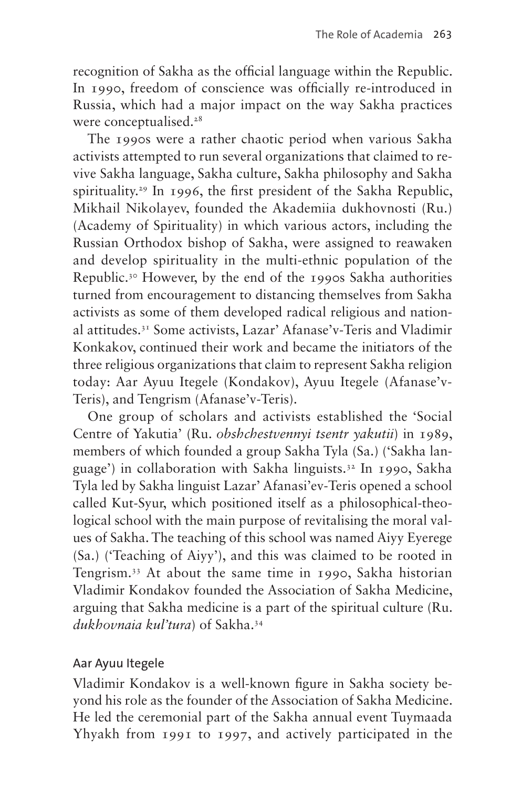recognition of Sakha as the official language within the Republic. In 1990, freedom of conscience was officially re-introduced in Russia, which had a major impact on the way Sakha practices were conceptualised.<sup>[28](#page-15-12)</sup>

The 1990s were a rather chaotic period when various Sakha activists attempted to run several organizations that claimed to revive Sakha language, Sakha culture, Sakha philosophy and Sakha spirituality.<sup>29</sup> In 1996, the first president of the Sakha Republic, Mikhail Nikolayev, founded the Akademiia dukhovnosti (Ru.) (Academy of Spirituality) in which various actors, including the Russian Orthodox bishop of Sakha, were assigned to reawaken and develop spirituality in the multi-ethnic population of the Republic.[30](#page-15-14) However, by the end of the 1990s Sakha authorities turned from encouragement to distancing themselves from Sakha activists as some of them developed radical religious and national attitudes.[31](#page-15-15) Some activists, Lazar' Afanase'v-Teris and Vladimir Konkakov, continued their work and became the initiators of the three religious organizations that claim to represent Sakha religion today: Aar Ayuu Itegele (Kondakov), Ayuu Itegele (Afanase'v-Teris), and Tengrism (Afanase'v-Teris).

One group of scholars and activists established the 'Social Centre of Yakutia' (Ru. *obshchestvennyi tsentr yakutii*) in 1989, members of which founded a group Sakha Tyla (Sa.) ('Sakha language') in collaboration with Sakha linguists[.32](#page-15-16) In 1990, Sakha Tyla led by Sakha linguist Lazar' Afanasi'ev-Teris opened a school called Kut-Syur, which positioned itself as a philosophical-theological school with the main purpose of revitalising the moral values of Sakha. The teaching of this school was named Aiyy Eyerege (Sa.) ('Teaching of Aiyy'), and this was claimed to be rooted in Tengrism.[33](#page-16-0) At about the same time in 1990, Sakha historian Vladimir Kondakov founded the Association of Sakha Medicine, arguing that Sakha medicine is a part of the spiritual culture (Ru. *dukhovnaia kul'tura*) of Sakha.[34](#page-16-1)

#### Aar Ayuu Itegele

Vladimir Kondakov is a well-known figure in Sakha society beyond his role as the founder of the Association of Sakha Medicine. He led the ceremonial part of the Sakha annual event Tuymaada Yhyakh from 1991 to 1997, and actively participated in the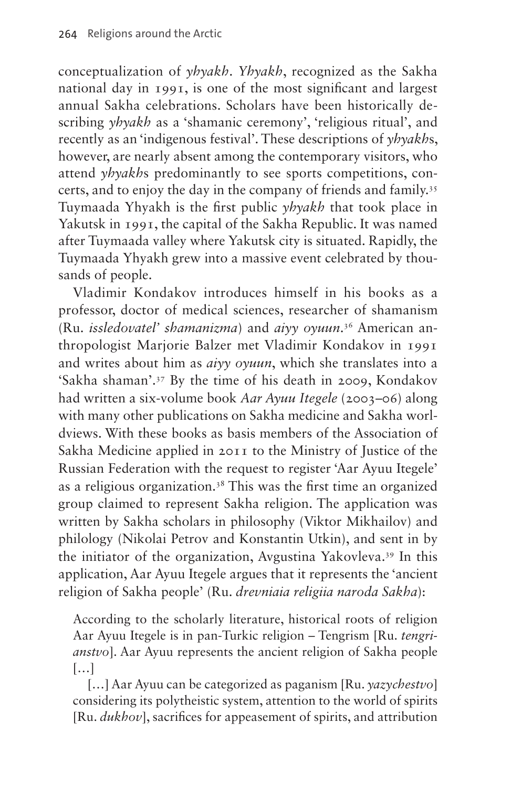conceptualization of *yhyakh*. *Yhyakh*, recognized as the Sakha national day in 1991, is one of the most significant and largest annual Sakha celebrations. Scholars have been historically describing *yhyakh* as a 'shamanic ceremony', 'religious ritual', and recently as an 'indigenous festival'. These descriptions of *yhyakh*s, however, are nearly absent among the contemporary visitors, who attend *yhyakh*s predominantly to see sports competitions, concerts, and to enjoy the day in the company of friends and family.<sup>35</sup> Tuymaada Yhyakh is the first public *yhyakh* that took place in Yakutsk in 1991, the capital of the Sakha Republic. It was named after Tuymaada valley where Yakutsk city is situated. Rapidly, the Tuymaada Yhyakh grew into a massive event celebrated by thousands of people.

Vladimir Kondakov introduces himself in his books as a professor, doctor of medical sciences, researcher of shamanism (Ru. *issledovatel' shamanizma*) and *aiyy oyuun*. [36](#page-16-3) American anthropologist Marjorie Balzer met Vladimir Kondakov in 1991 and writes about him as *aiyy oyuun*, which she translates into a 'Sakha shaman'[.37](#page-16-4) By the time of his death in 2009, Kondakov had written a six-volume book *Aar Ayuu Itegele* (2003–06) along with many other publications on Sakha medicine and Sakha worldviews. With these books as basis members of the Association of Sakha Medicine applied in 2011 to the Ministry of Justice of the Russian Federation with the request to register 'Aar Ayuu Itegele' as a religious organization.[38](#page-16-5) This was the first time an organized group claimed to represent Sakha religion. The application was written by Sakha scholars in philosophy (Viktor Mikhailov) and philology (Nikolai Petrov and Konstantin Utkin), and sent in by the initiator of the organization, Avgustina Yakovleva[.39](#page-16-6) In this application, Aar Ayuu Itegele argues that it represents the 'ancient religion of Sakha people' (Ru. *drevniaia religiia naroda Sakha*):

According to the scholarly literature, historical roots of religion Aar Ayuu Itegele is in pan-Turkic religion – Tengrism [Ru. *tengrianstvo*]. Aar Ayuu represents the ancient religion of Sakha people […]

[…] Aar Ayuu can be categorized as paganism [Ru. *yazychestvo*] considering its polytheistic system, attention to the world of spirits [Ru. *dukhov*], sacrifices for appeasement of spirits, and attribution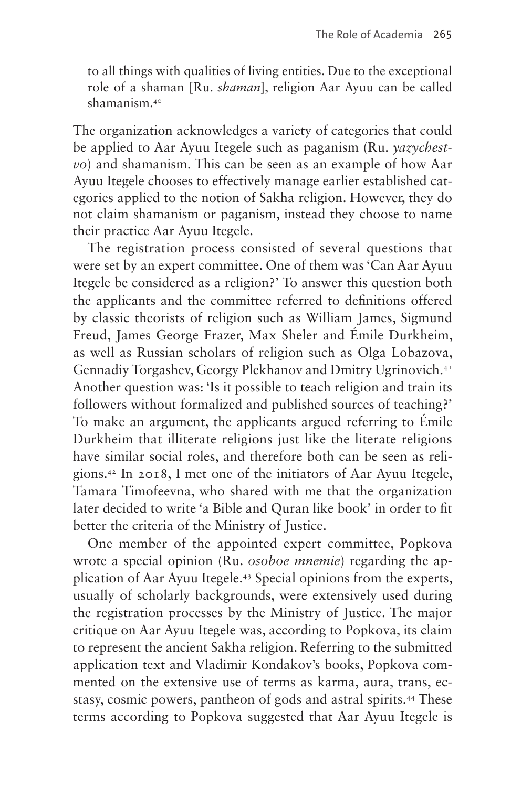to all things with qualities of living entities. Due to the exceptional role of a shaman [Ru. *shaman*], religion Aar Ayuu can be called shamanism[.40](#page-16-7)

The organization acknowledges a variety of categories that could be applied to Aar Ayuu Itegele such as paganism (Ru. *yazychestvo*) and shamanism. This can be seen as an example of how Aar Ayuu Itegele chooses to effectively manage earlier established categories applied to the notion of Sakha religion. However, they do not claim shamanism or paganism, instead they choose to name their practice Aar Ayuu Itegele.

The registration process consisted of several questions that were set by an expert committee. One of them was 'Can Aar Ayuu Itegele be considered as a religion?' To answer this question both the applicants and the committee referred to definitions offered by classic theorists of religion such as William James, Sigmund Freud, James George Frazer, Max Sheler and Émile Durkheim, as well as Russian scholars of religion such as Olga Lobazova, Gennadiy Torgashev, Georgy Plekhanov and Dmitry Ugrinovich.[41](#page-16-8) Another question was: 'Is it possible to teach religion and train its followers without formalized and published sources of teaching?' To make an argument, the applicants argued referring to Émile Durkheim that illiterate religions just like the literate religions have similar social roles, and therefore both can be seen as religions.[42](#page-16-9) In 2018, I met one of the initiators of Aar Ayuu Itegele, Tamara Timofeevna, who shared with me that the organization later decided to write 'a Bible and Quran like book' in order to fit better the criteria of the Ministry of Justice.

One member of the appointed expert committee, Popkova wrote a special opinion (Ru. *osoboe mnemie*) regarding the application of Aar Ayuu Itegele.[43](#page-16-10) Special opinions from the experts, usually of scholarly backgrounds, were extensively used during the registration processes by the Ministry of Justice. The major critique on Aar Ayuu Itegele was, according to Popkova, its claim to represent the ancient Sakha religion. Referring to the submitted application text and Vladimir Kondakov's books, Popkova commented on the extensive use of terms as karma, aura, trans, ecstasy, cosmic powers, pantheon of gods and astral spirits.[44](#page-16-11) These terms according to Popkova suggested that Aar Ayuu Itegele is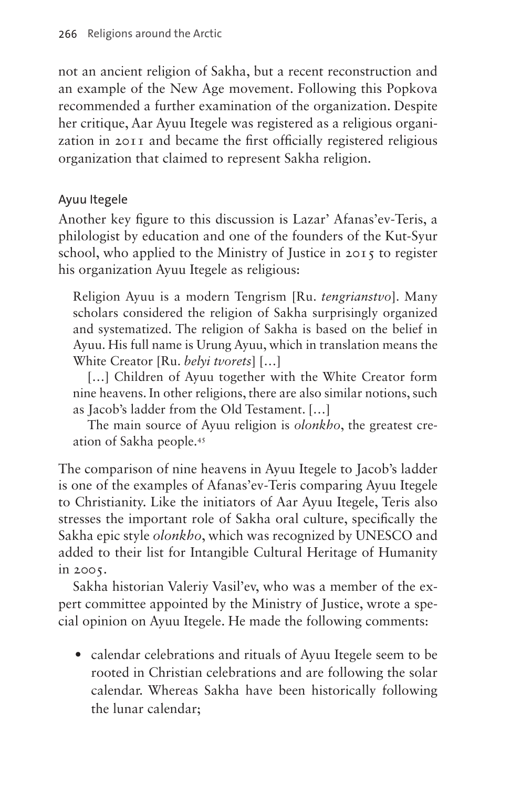not an ancient religion of Sakha, but a recent reconstruction and an example of the New Age movement. Following this Popkova recommended a further examination of the organization. Despite her critique, Aar Ayuu Itegele was registered as a religious organization in 2011 and became the first officially registered religious organization that claimed to represent Sakha religion.

### Ayuu Itegele

Another key figure to this discussion is Lazar' Afanas'ev-Teris, a philologist by education and one of the founders of the Kut-Syur school, who applied to the Ministry of Justice in 2015 to register his organization Ayuu Itegele as religious:

Religion Ayuu is a modern Tengrism [Ru. *tengrianstvo*]. Many scholars considered the religion of Sakha surprisingly organized and systematized. The religion of Sakha is based on the belief in Ayuu. His full name is Urung Ayuu, which in translation means the White Creator [Ru. *belyi tvorets*] […]

[...] Children of Ayuu together with the White Creator form nine heavens. In other religions, there are also similar notions, such as Jacob's ladder from the Old Testament. […]

The main source of Ayuu religion is *olonkho*, the greatest creation of Sakha people[.45](#page-16-12)

The comparison of nine heavens in Ayuu Itegele to Jacob's ladder is one of the examples of Afanas'ev-Teris comparing Ayuu Itegele to Christianity. Like the initiators of Aar Ayuu Itegele, Teris also stresses the important role of Sakha oral culture, specifically the Sakha epic style *olonkho*, which was recognized by UNESCO and added to their list for Intangible Cultural Heritage of Humanity in 2005.

Sakha historian Valeriy Vasil'ev, who was a member of the expert committee appointed by the Ministry of Justice, wrote a special opinion on Ayuu Itegele. He made the following comments:

• calendar celebrations and rituals of Ayuu Itegele seem to be rooted in Christian celebrations and are following the solar calendar. Whereas Sakha have been historically following the lunar calendar;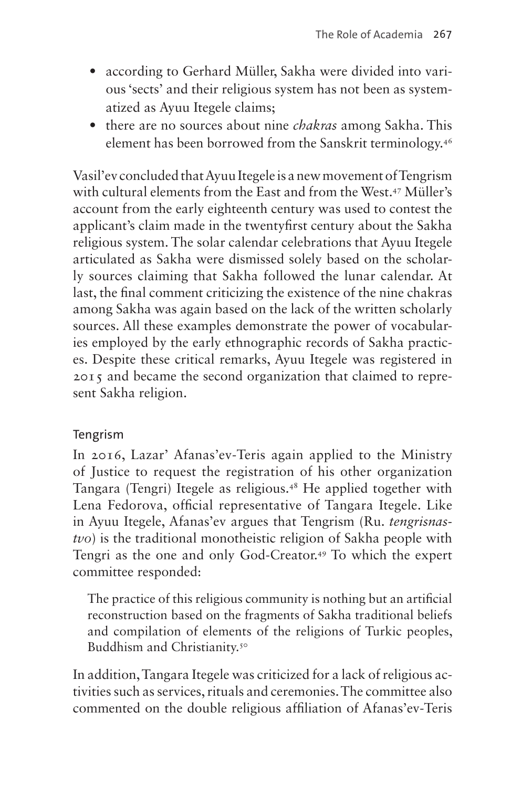- according to Gerhard Müller, Sakha were divided into various 'sects' and their religious system has not been as systematized as Ayuu Itegele claims;
- there are no sources about nine *chakras* among Sakha. This element has been borrowed from the Sanskrit terminology.[46](#page-16-13)

Vasil'ev concluded that Ayuu Itegele is a new movement of Tengrism with cultural elements from the East and from the West[.47](#page-16-14) Müller's account from the early eighteenth century was used to contest the applicant's claim made in the twentyfirst century about the Sakha religious system. The solar calendar celebrations that Ayuu Itegele articulated as Sakha were dismissed solely based on the scholarly sources claiming that Sakha followed the lunar calendar. At last, the final comment criticizing the existence of the nine chakras among Sakha was again based on the lack of the written scholarly sources. All these examples demonstrate the power of vocabularies employed by the early ethnographic records of Sakha practices. Despite these critical remarks, Ayuu Itegele was registered in 2015 and became the second organization that claimed to represent Sakha religion.

#### Tengrism

In 2016, Lazar' Afanas'ev-Teris again applied to the Ministry of Justice to request the registration of his other organization Tangara (Tengri) Itegele as religious.[48](#page-16-15) He applied together with Lena Fedorova, official representative of Tangara Itegele. Like in Ayuu Itegele, Afanas'ev argues that Tengrism (Ru. *tengrisnastvo*) is the traditional monotheistic religion of Sakha people with Tengri as the one and only God-Creator.[49](#page-16-16) To which the expert committee responded:

The practice of this religious community is nothing but an artificial reconstruction based on the fragments of Sakha traditional beliefs and compilation of elements of the religions of Turkic peoples, Buddhism and Christianity.<sup>50</sup>

In addition, Tangara Itegele was criticized for a lack of religious activities such as services, rituals and ceremonies. The committee also commented on the double religious affiliation of Afanas'ev-Teris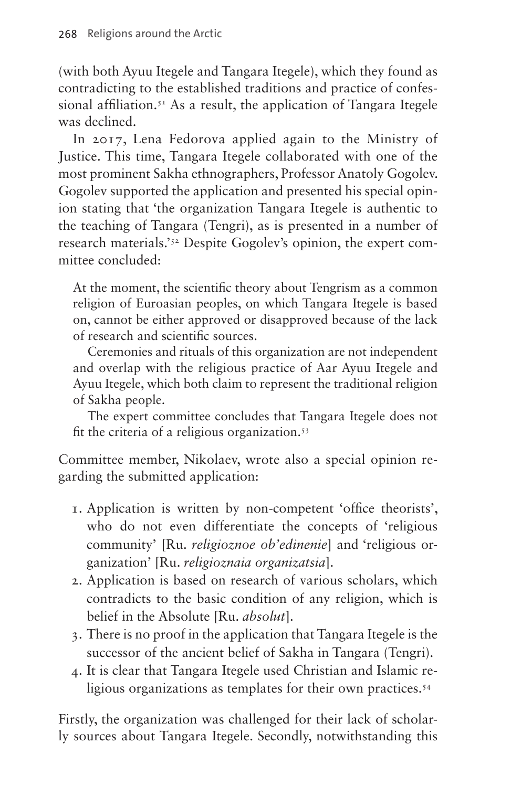(with both Ayuu Itegele and Tangara Itegele), which they found as contradicting to the established traditions and practice of confessional affiliation.<sup>51</sup> As a result, the application of Tangara Itegele was declined.

In 2017, Lena Fedorova applied again to the Ministry of Justice. This time, Tangara Itegele collaborated with one of the most prominent Sakha ethnographers, Professor Anatoly Gogolev. Gogolev supported the application and presented his special opinion stating that 'the organization Tangara Itegele is authentic to the teaching of Tangara (Tengri), as is presented in a number of research materials.['52](#page-16-19) Despite Gogolev's opinion, the expert committee concluded:

At the moment, the scientific theory about Tengrism as a common religion of Euroasian peoples, on which Tangara Itegele is based on, cannot be either approved or disapproved because of the lack of research and scientific sources.

Ceremonies and rituals of this organization are not independent and overlap with the religious practice of Aar Ayuu Itegele and Ayuu Itegele, which both claim to represent the traditional religion of Sakha people.

The expert committee concludes that Tangara Itegele does not fit the criteria of a religious organization.[53](#page-16-20)

Committee member, Nikolaev, wrote also a special opinion regarding the submitted application:

- 1. Application is written by non-competent 'office theorists', who do not even differentiate the concepts of 'religious community' [Ru. *religioznoe ob'edinenie*] and 'religious organization' [Ru. *religioznaia organizatsia*].
- 2. Application is based on research of various scholars, which contradicts to the basic condition of any religion, which is belief in the Absolute [Ru. *absolut*].
- 3. There is no proof in the application that Tangara Itegele is the successor of the ancient belief of Sakha in Tangara (Tengri).
- 4. It is clear that Tangara Itegele used Christian and Islamic religious organizations as templates for their own practices.<sup>54</sup>

Firstly, the organization was challenged for their lack of scholarly sources about Tangara Itegele. Secondly, notwithstanding this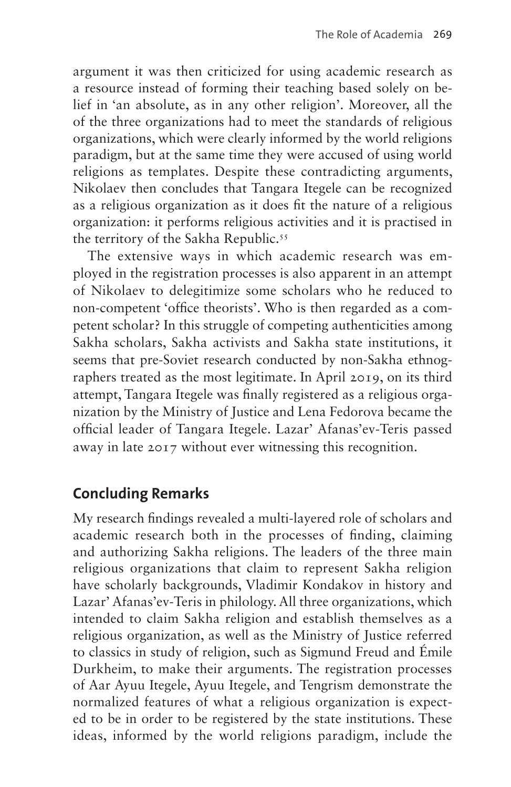argument it was then criticized for using academic research as a resource instead of forming their teaching based solely on belief in 'an absolute, as in any other religion'. Moreover, all the of the three organizations had to meet the standards of religious organizations, which were clearly informed by the world religions paradigm, but at the same time they were accused of using world religions as templates. Despite these contradicting arguments, Nikolaev then concludes that Tangara Itegele can be recognized as a religious organization as it does fit the nature of a religious organization: it performs religious activities and it is practised in the territory of the Sakha Republic.<sup>55</sup>

The extensive ways in which academic research was employed in the registration processes is also apparent in an attempt of Nikolaev to delegitimize some scholars who he reduced to non-competent 'office theorists'. Who is then regarded as a competent scholar? In this struggle of competing authenticities among Sakha scholars, Sakha activists and Sakha state institutions, it seems that pre-Soviet research conducted by non-Sakha ethnographers treated as the most legitimate. In April 2019, on its third attempt, Tangara Itegele was finally registered as a religious organization by the Ministry of Justice and Lena Fedorova became the official leader of Tangara Itegele. Lazar' Afanas'ev-Teris passed away in late 2017 without ever witnessing this recognition.

### **Concluding Remarks**

My research findings revealed a multi-layered role of scholars and academic research both in the processes of finding, claiming and authorizing Sakha religions. The leaders of the three main religious organizations that claim to represent Sakha religion have scholarly backgrounds, Vladimir Kondakov in history and Lazar' Afanas'ev-Teris in philology. All three organizations, which intended to claim Sakha religion and establish themselves as a religious organization, as well as the Ministry of Justice referred to classics in study of religion, such as Sigmund Freud and Émile Durkheim, to make their arguments. The registration processes of Aar Ayuu Itegele, Ayuu Itegele, and Tengrism demonstrate the normalized features of what a religious organization is expected to be in order to be registered by the state institutions. These ideas, informed by the world religions paradigm, include the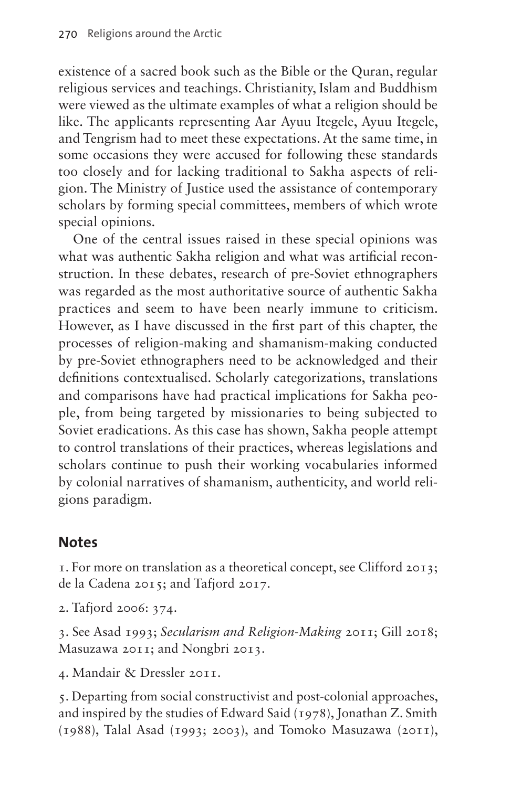existence of a sacred book such as the Bible or the Quran, regular religious services and teachings. Christianity, Islam and Buddhism were viewed as the ultimate examples of what a religion should be like. The applicants representing Aar Ayuu Itegele, Ayuu Itegele, and Tengrism had to meet these expectations. At the same time, in some occasions they were accused for following these standards too closely and for lacking traditional to Sakha aspects of religion. The Ministry of Justice used the assistance of contemporary scholars by forming special committees, members of which wrote special opinions.

One of the central issues raised in these special opinions was what was authentic Sakha religion and what was artificial reconstruction. In these debates, research of pre-Soviet ethnographers was regarded as the most authoritative source of authentic Sakha practices and seem to have been nearly immune to criticism. However, as I have discussed in the first part of this chapter, the processes of religion-making and shamanism-making conducted by pre-Soviet ethnographers need to be acknowledged and their definitions contextualised. Scholarly categorizations, translations and comparisons have had practical implications for Sakha people, from being targeted by missionaries to being subjected to Soviet eradications. As this case has shown, Sakha people attempt to control translations of their practices, whereas legislations and scholars continue to push their working vocabularies informed by colonial narratives of shamanism, authenticity, and world religions paradigm.

### **Notes**

<span id="page-13-0"></span>1. For more on translation as a theoretical concept, see Clifford 2013; de la Cadena 2015; and Tafjord 2017.

<span id="page-13-1"></span>2. Tafjord 2006: 374.

<span id="page-13-2"></span>3. See Asad 1993; *Secularism and Religion-Making* 2011; Gill 2018; Masuzawa 2011; and Nongbri 2013.

<span id="page-13-3"></span>4. Mandair & Dressler 2011.

<span id="page-13-4"></span>5. Departing from social constructivist and post-colonial approaches, and inspired by the studies of Edward Said (1978), Jonathan Z. Smith (1988), Talal Asad (1993; 2003), and Tomoko Masuzawa (2011),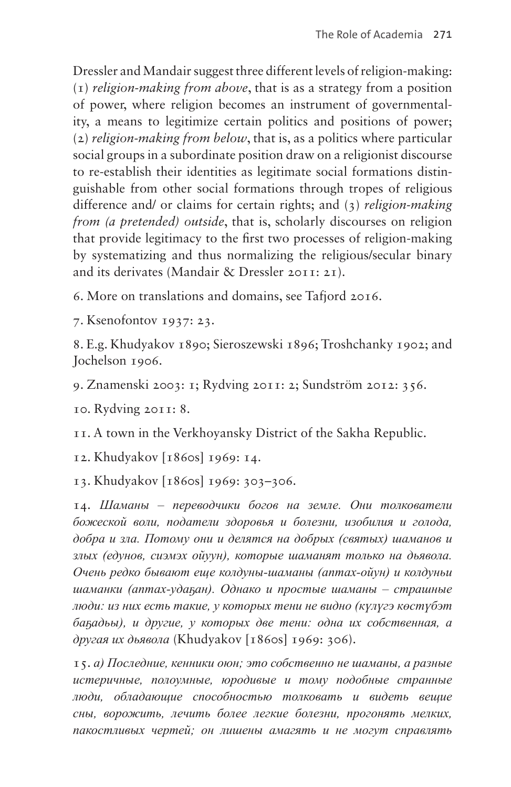Dressler and Mandair suggest three different levels of religion-making: (1) *religion-making from above*, that is as a strategy from a position of power, where religion becomes an instrument of governmentality, a means to legitimize certain politics and positions of power; (2) *religion-making from below*, that is, as a politics where particular social groups in a subordinate position draw on a religionist discourse to re-establish their identities as legitimate social formations distinguishable from other social formations through tropes of religious difference and/ or claims for certain rights; and (3) *religion-making from (a pretended) outside*, that is, scholarly discourses on religion that provide legitimacy to the first two processes of religion-making by systematizing and thus normalizing the religious/secular binary and its derivates (Mandair & Dressler 2011: 21).

<span id="page-14-0"></span>6. More on translations and domains, see Tafjord 2016.

<span id="page-14-1"></span>7. Ksenofontov 1937: 23.

<span id="page-14-2"></span>8. E.g. Khudyakov 1890; Sieroszewski 1896; Troshchanky 1902; and Jochelson 1906.

<span id="page-14-3"></span>9. Znamenski 2003: 1; Rydving 2011: 2; Sundström 2012: 356.

<span id="page-14-4"></span>10. Rydving 2011: 8.

<span id="page-14-5"></span>11. A town in the Verkhoyansky District of the Sakha Republic.

<span id="page-14-6"></span>12. Khudyakov [1860s] 1969: 14.

<span id="page-14-7"></span>13. Khudyakov [1860s] 1969: 303–306.

<span id="page-14-8"></span>14. *Шаманы – переводчики богов на земле. Они толкователи божеской воли, податели здоровья и болезни, изобилия и голода, добра и зла. Потому они и делятся на добрых (святых) шаманов и злых (едунов, сиэмэх ойуун), которые шаманят только на дьявола. Очень редко бывают еще колдуны-шаманы (аптах-ойун) и колдуньи шаманки (аптах-удаҕан). Однако и простые шаманы – страшные люди: из них есть такие, у которых тени не видно (күлүгэ көстүбэт баҕадьы), и другие, у которых две тени: одна их собственная, а другая их дьявола* (Khudyakov [1860s] 1969: 306).

<span id="page-14-9"></span>15. *а) Последние, кенники оюн; это собственно не шаманы, а разные истеричные, полоумные, юродивые и тому подобные странные люди, обладающие способностью толковать и видеть вещие сны, ворожить, лечить более легкие болезни, прогонять мелких, пакостливых чертей; он лишены амагять и не могут справлять*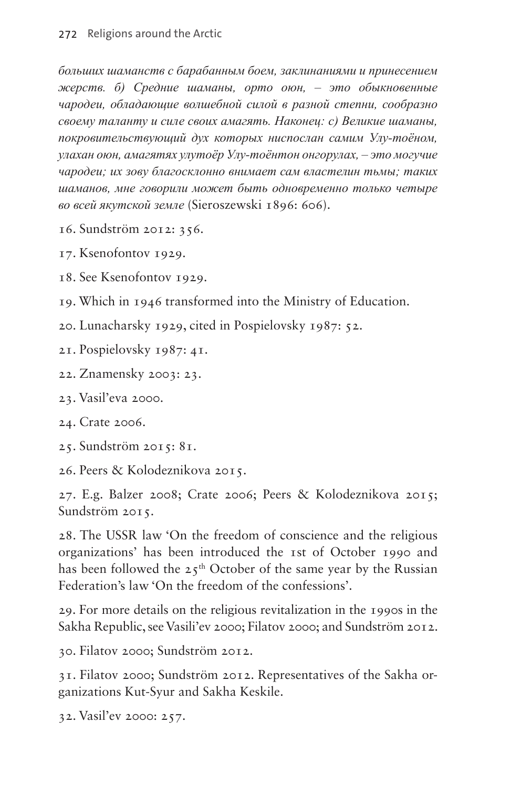*больших шаманств с барабанным боем, заклинаниями и принесением жерств. б) Средние шаманы, орто оюн, – это обыкновенные чародеи, обладающие волшебной силой в разной степни, сообразно своему таланту и силе своих амагять. Наконец: с) Великие шаманы, покровительствующий дух которых ниспослан самим Улу-тоёном, улахан оюн, амагятях улутоёр Улу-тоёнтон онгорулах, – это могучие чародеи; их зову благосклонно внимает сам властелин тьмы; таких шаманов, мне говорили может быть одновременно только четыре во всей якутской земле* (Sieroszewski 1896: 606).

- <span id="page-15-0"></span>16. Sundström 2012: 356.
- <span id="page-15-1"></span>17. Ksenofontov 1929.
- <span id="page-15-2"></span>18. See Ksenofontov 1929.
- <span id="page-15-3"></span>19. Which in 1946 transformed into the Ministry of Education.
- <span id="page-15-4"></span>20. Lunacharsky 1929, cited in Pospielovsky 1987: 52.
- <span id="page-15-5"></span>21. Pospielovsky 1987: 41.
- <span id="page-15-6"></span>22. Znamensky 2003: 23.
- <span id="page-15-7"></span>23. Vasil'eva 2000.
- <span id="page-15-8"></span>24. Crate 2006.
- <span id="page-15-9"></span>25. Sundström 2015: 81.
- <span id="page-15-10"></span>26. Peers & Kolodeznikova 2015.

<span id="page-15-11"></span>27. E.g. Balzer 2008; Crate 2006; Peers & Kolodeznikova 2015; Sundström 2015.

<span id="page-15-12"></span>28. The USSR law 'On the freedom of conscience and the religious organizations' has been introduced the 1st of October 1990 and has been followed the  $25<sup>th</sup>$  October of the same year by the Russian Federation's law 'On the freedom of the confessions'.

<span id="page-15-13"></span>29. For more details on the religious revitalization in the 1990s in the Sakha Republic, see Vasili'ev 2000; Filatov 2000; and Sundström 2012.

<span id="page-15-14"></span>30. Filatov 2000; Sundström 2012.

<span id="page-15-15"></span>31. Filatov 2000; Sundström 2012. Representatives of the Sakha organizations Kut-Syur and Sakha Keskile.

<span id="page-15-16"></span>32. Vasil'ev 2000: 257.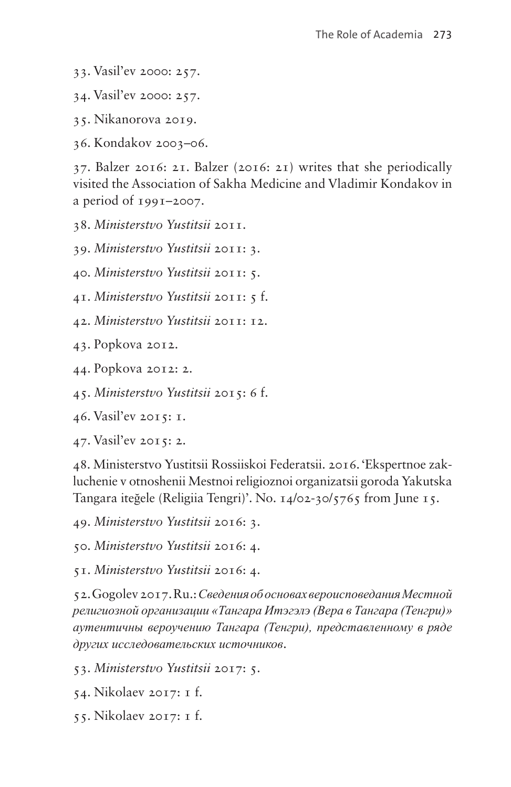- <span id="page-16-0"></span>33. Vasil'ev 2000: 257.
- <span id="page-16-1"></span>34. Vasil'ev 2000: 257.
- <span id="page-16-2"></span>35. Nikanorova 2019.
- <span id="page-16-3"></span>36. Kondakov 2003–06.

<span id="page-16-4"></span>37. Balzer 2016: 21. Balzer (2016: 21) writes that she periodically visited the Association of Sakha Medicine and Vladimir Kondakov in a period of 1991–2007.

<span id="page-16-5"></span>38. *Ministerstvo Yustitsii* 2011.

<span id="page-16-6"></span>39. *Ministerstvo Yustitsii* 2011: 3.

<span id="page-16-7"></span>40. *Ministerstvo Yustitsii* 2011: 5.

- <span id="page-16-8"></span>41. *Ministerstvo Yustitsii* 2011: 5 f.
- <span id="page-16-9"></span>42. *Ministerstvo Yustitsii* 2011: 12.
- <span id="page-16-10"></span>43. Popkova 2012.
- <span id="page-16-11"></span>44. Popkova 2012: 2.
- <span id="page-16-12"></span>45. *Ministerstvo Yustitsii* 2015: 6 f.
- <span id="page-16-13"></span>46. Vasil'ev 2015: 1.
- <span id="page-16-14"></span>47. Vasil'ev 2015: 2.

<span id="page-16-15"></span>48. Ministerstvo Yustitsii Rossiiskoi Federatsii. 2016. 'Ekspertnoe zakluchenie v otnoshenii Mestnoi religioznoi organizatsii goroda Yakutska Tangara iteğele (Religiia Tengri)'. No. 14/02-30/5765 from June 15.

<span id="page-16-16"></span>49. *Ministerstvo Yustitsii* 2016: 3.

<span id="page-16-17"></span>50. *Ministerstvo Yustitsii* 2016: 4.

<span id="page-16-18"></span>51. *Ministerstvo Yustitsii* 2016: 4.

<span id="page-16-19"></span>52. Gogolev 2017. Ru.: *Сведения об основах вероисповедания Местной религиозной организации «Тангара Итэгэлэ (Вера в Тангара (Тенгри)» аутентичны вероучению Тангара (Тенгри), представленному в ряде других исследовательских источников*.

<span id="page-16-20"></span>53. *Ministerstvo Yustitsii* 2017: 5.

- <span id="page-16-21"></span>54. Nikolaev 2017: 1 f.
- <span id="page-16-22"></span>55. Nikolaev 2017: 1 f.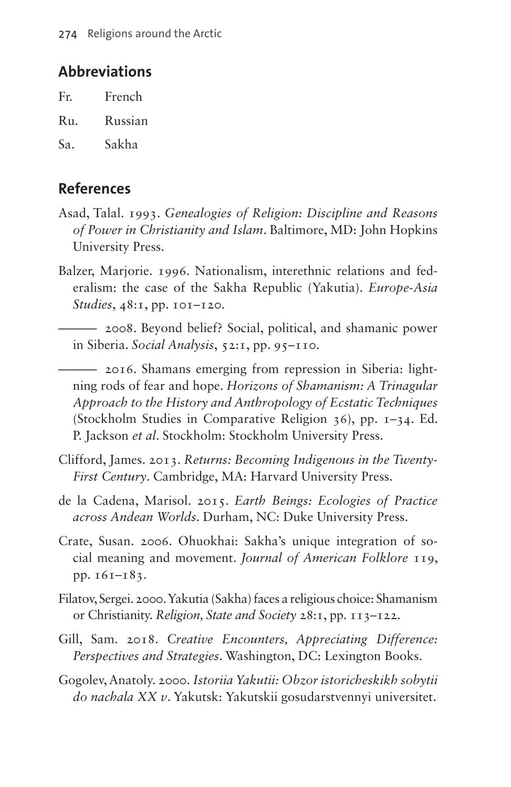### **Abbreviations**

| Fr. | French  |
|-----|---------|
| Ru. | Russian |
| Sa. | Sakha   |

### **References**

- Asad, Talal. 1993. *Genealogies of Religion: Discipline and Reasons of Power in Christianity and Islam*. Baltimore, MD: John Hopkins University Press.
- Balzer, Marjorie. 1996. Nationalism, interethnic relations and federalism: the case of the Sakha Republic (Yakutia). *Europe-Asia Studies*, 48:1, pp. 101–120.
	- ——— 2008. Beyond belief? Social, political, and shamanic power in Siberia. *Social Analysis*, 52:1, pp. 95*–*110.
	- ——— 2016. Shamans emerging from repression in Siberia: lightning rods of fear and hope. *Horizons of Shamanism: A Trinagular Approach to the History and Anthropology of Ecstatic Techniques* (Stockholm Studies in Comparative Religion 36), pp. 1–34. Ed. P. Jackson *et al*. Stockholm: Stockholm University Press.
- Clifford, James. 2013. *Returns: Becoming Indigenous in the Twenty-First Century*. Cambridge, MA: Harvard University Press.
- de la Cadena, Marisol. 2015. *Earth Beings: Ecologies of Practice across Andean Worlds*. Durham, NC: Duke University Press.
- Crate, Susan. 2006. Ohuokhai: Sakha's unique integration of social meaning and movement. *Journal of American Folklore* 119, pp. 161–183.
- Filatov, Sergei. 2000. Yakutia (Sakha) faces a religious choice: Shamanism or Christianity. *Religion, State and Society* 28:1, pp. 113–122.
- Gill, Sam. 2018. *Creative Encounters, Appreciating Difference: Perspectives and Strategies*. Washington, DC: Lexington Books.
- Gogolev, Anatoly. 2000. *Istoriia Yakutii: Obzor istoricheskikh sobytii do nachala XX v*. Yakutsk: Yakutskii gosudarstvennyi universitet.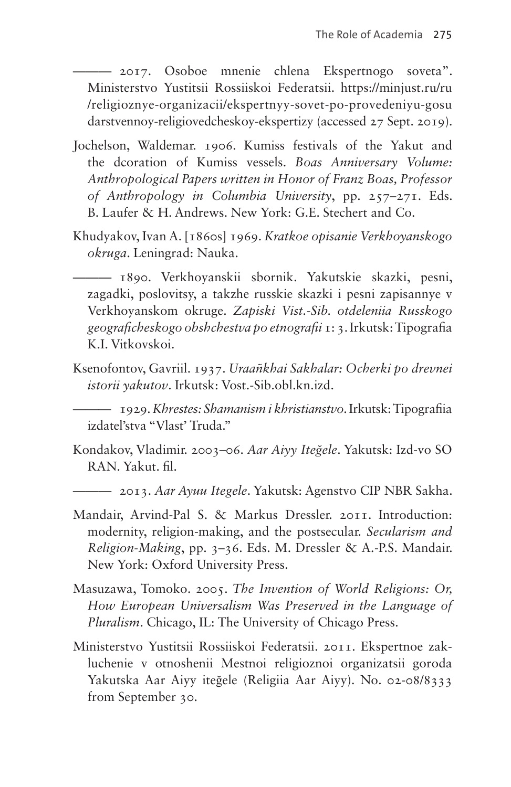——— 2017. Osoboe mnenie chlena Ekspertnogo soveta". Ministerstvo Yustitsii Rossiiskoi Federatsii. [https://minjust.ru/ru](https://minjust.ru/ru/religioznye-organizacii/ekspertnyy-sovet-po-provedeniyu-gosudarstvennoy-religiovedcheskoy-ekspertizy) [/religioznye-organizacii/ekspertnyy-sovet-po-provedeniyu-gosu](https://minjust.ru/ru/religioznye-organizacii/ekspertnyy-sovet-po-provedeniyu-gosudarstvennoy-religiovedcheskoy-ekspertizy) [darstvennoy-religiovedcheskoy-ekspertizy](https://minjust.ru/ru/religioznye-organizacii/ekspertnyy-sovet-po-provedeniyu-gosudarstvennoy-religiovedcheskoy-ekspertizy) (accessed 27 Sept. 2019).

- Jochelson, Waldemar. 1906. Kumiss festivals of the Yakut and the dcoration of Kumiss vessels. *Boas Anniversary Volume: Anthropological Papers written in Honor of Franz Boas, Professor of Anthropology in Columbia University*, pp. 257–271. Eds. B. Laufer & H. Andrews. New York: G.E. Stechert and Co.
- Khudyakov, Ivan A. [1860s] 1969. *Kratkoe opisanie Verkhoyanskogo okruga*. Leningrad: Nauka.

——— 1890. Verkhoyanskii sbornik. Yakutskie skazki, pesni, zagadki, poslovitsy, a takzhe russkie skazki i pesni zapisannye v Verkhoyanskom okruge. *Zapiski Vist.-Sib. otdeleniia Russkogo geograficheskogo obshchestva po etnografii* 1: 3. Irkutsk: Tipografia K.I. Vitkovskoi.

Ksenofontov, Gavriil. 1937. *Uraañkhai Sakhalar: Ocherki po drevnei istorii yakutov*. Irkutsk: Vost.-Sib.obl.kn.izd.

——— 1929. *Khrestes: Shamanism i khristianstvo*. Irkutsk: Tipografiia izdatel'stva "Vlast' Truda."

Kondakov, Vladimir. 2003–06. *Aar Aiyy Iteğele*. Yakutsk: Izd-vo SO RAN. Yakut. fil.

——— 2013. *Aar Ayuu Itegele*. Yakutsk: Agenstvo CIP NBR Sakha.

- Mandair, Arvind-Pal S. & Markus Dressler. 2011. Introduction: modernity, religion-making, and the postsecular. *Secularism and Religion-Making*, pp. 3–36. Eds. M. Dressler & A.-P.S. Mandair. New York: Oxford University Press.
- Masuzawa, Tomoko. 2005. *The Invention of World Religions: Or, How European Universalism Was Preserved in the Language of Pluralism*. Chicago, IL: The University of Chicago Press.
- Ministerstvo Yustitsii Rossiiskoi Federatsii. 2011. Ekspertnoe zakluchenie v otnoshenii Mestnoi religioznoi organizatsii goroda Yakutska Aar Aiyy iteğele (Religiia Aar Aiyy). No. 02-08/8333 from September 30.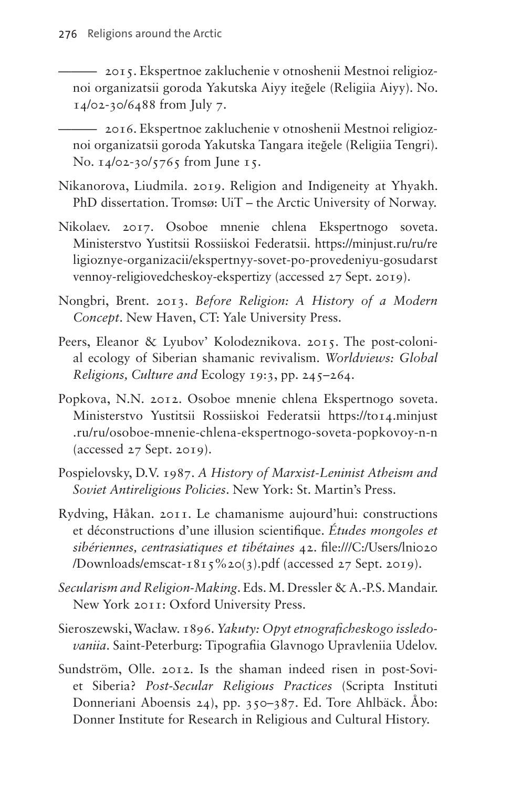——— 2015. Ekspertnoe zakluchenie v otnoshenii Mestnoi religioznoi organizatsii goroda Yakutska Aiyy iteğele (Religiia Aiyy). No. 14/02-30/6488 from July 7.

——— 2016. Ekspertnoe zakluchenie v otnoshenii Mestnoi religioznoi organizatsii goroda Yakutska Tangara iteğele (Religiia Tengri). No. 14/02-30/5765 from June 15.

- Nikanorova, Liudmila. 2019. Religion and Indigeneity at Yhyakh. PhD dissertation. Tromsø: UiT – the Arctic University of Norway.
- Nikolaev. 2017. Osoboe mnenie chlena Ekspertnogo soveta. Ministerstvo Yustitsii Rossiiskoi Federatsii. [https://minjust.ru/ru/re](https://minjust.ru/ru/religioznye-organizacii/ekspertnyy-sovet-po-provedeniyu-gosudarstvennoy-religiovedcheskoy-ekspertizy) [ligioznye-organizacii/ekspertnyy-sovet-po-provedeniyu-gosudarst](https://minjust.ru/ru/religioznye-organizacii/ekspertnyy-sovet-po-provedeniyu-gosudarstvennoy-religiovedcheskoy-ekspertizy) [vennoy-religiovedcheskoy-ekspertizy](https://minjust.ru/ru/religioznye-organizacii/ekspertnyy-sovet-po-provedeniyu-gosudarstvennoy-religiovedcheskoy-ekspertizy) (accessed 27 Sept. 2019).
- Nongbri, Brent. 2013. *Before Religion: A History of a Modern Concept*. New Haven, CT: Yale University Press.
- Peers, Eleanor & Lyubov' Kolodeznikova. 2015. The post-colonial ecology of Siberian shamanic revivalism. *Worldviews: Global Religions, Culture and* Ecology 19:3, pp. 245–264.
- Popkova, N.N. 2012. Osoboe mnenie chlena Ekspertnogo soveta. Ministerstvo Yustitsii Rossiiskoi Federatsii [https://to14.minjust](https://to14.minjust.ru/ru/osoboe-mnenie-chlena-ekspertnogo-soveta-popkovoy-n-n) [.ru/ru/osoboe-mnenie-chlena-ekspertnogo-soveta-popkovoy-n-n](https://to14.minjust.ru/ru/osoboe-mnenie-chlena-ekspertnogo-soveta-popkovoy-n-n) (accessed 27 Sept. 2019).
- Pospielovsky, D.V. 1987. *A History of Marxist-Leninist Atheism and Soviet Antireligious Policies*. New York: St. Martin's Press.
- Rydving, Håkan. 2011. Le chamanisme aujourd'hui: constructions et déconstructions d'une illusion scientifique. *Études mongoles et sibériennes, centrasiatiques et tibétaines* 42. file:///C:/Users/lni020 /Downloads/emscat-1815%20(3).pdf (accessed 27 Sept. 2019).
- *Secularism and Religion-Making*. Eds. M. Dressler & A.-P.S. Mandair. New York 2011: Oxford University Press.
- Sieroszewski, Wacław. 1896. *Yakuty: Opyt etnograficheskogo issledovaniia*. Saint-Peterburg: Tipografiia Glavnogo Upravleniia Udelov.
- Sundström, Olle. 2012. Is the shaman indeed risen in post-Soviet Siberia? *Post-Secular Religious Practices* (Scripta Instituti Donneriani Aboensis 24), pp. 350–387. Ed. Tore Ahlbäck. Åbo: Donner Institute for Research in Religious and Cultural History.